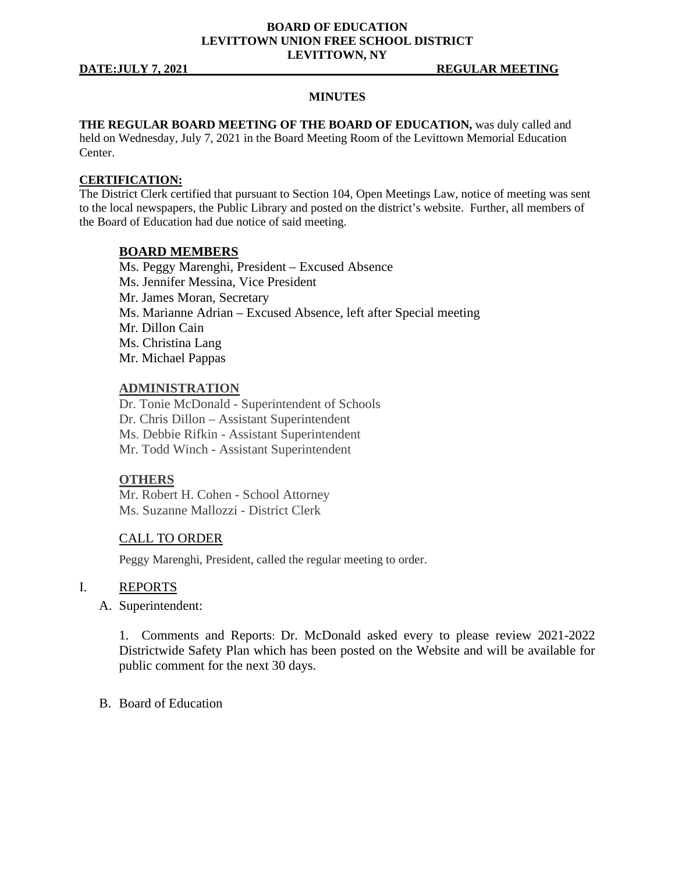# **BOARD OF EDUCATION LEVITTOWN UNION FREE SCHOOL DISTRICT LEVITTOWN, NY**

**DATE:JULY 7, 2021 REGULAR MEETING**

## **MINUTES**

**THE REGULAR BOARD MEETING OF THE BOARD OF EDUCATION,** was duly called and held on Wednesday, July 7, 2021 in the Board Meeting Room of the Levittown Memorial Education Center.

### **CERTIFICATION:**

The District Clerk certified that pursuant to Section 104, Open Meetings Law, notice of meeting was sent to the local newspapers, the Public Library and posted on the district's website. Further, all members of the Board of Education had due notice of said meeting.

## **BOARD MEMBERS**

Ms. Peggy Marenghi, President – Excused Absence Ms. Jennifer Messina, Vice President Mr. James Moran, Secretary Ms. Marianne Adrian – Excused Absence, left after Special meeting Mr. Dillon Cain Ms. Christina Lang Mr. Michael Pappas

# **ADMINISTRATION**

Dr. Tonie McDonald - Superintendent of Schools Dr. Chris Dillon – Assistant Superintendent Ms. Debbie Rifkin - Assistant Superintendent Mr. Todd Winch - Assistant Superintendent

## **OTHERS**

Mr. Robert H. Cohen - School Attorney Ms. Suzanne Mallozzi - District Clerk

## CALL TO ORDER

Peggy Marenghi, President, called the regular meeting to order.

### I. REPORTS

A. Superintendent:

1. Comments and Reports: Dr. McDonald asked every to please review 2021-2022 Districtwide Safety Plan which has been posted on the Website and will be available for public comment for the next 30 days.

B. Board of Education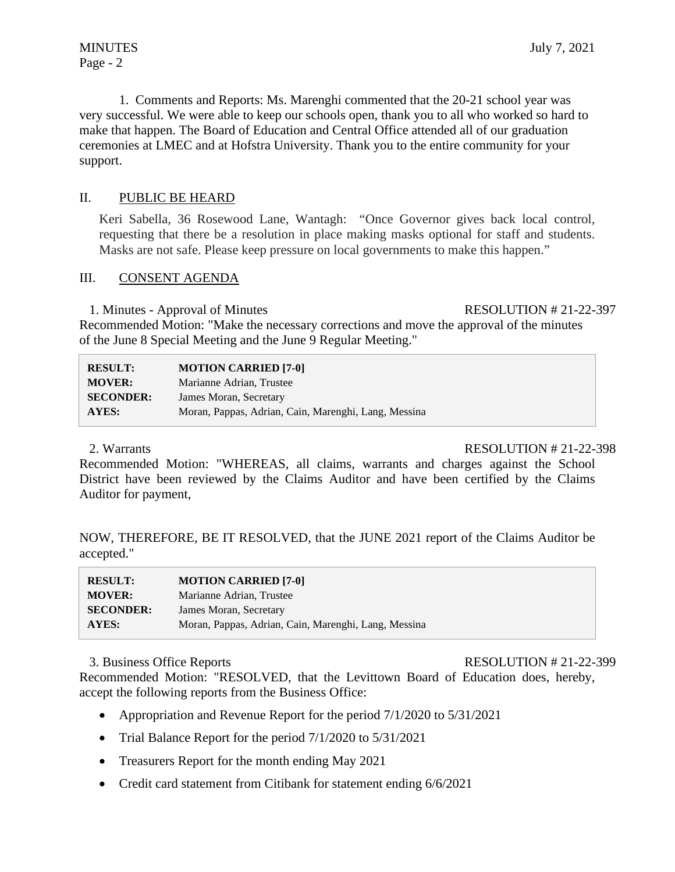1. Comments and Reports: Ms. Marenghi commented that the 20-21 school year was very successful. We were able to keep our schools open, thank you to all who worked so hard to make that happen. The Board of Education and Central Office attended all of our graduation ceremonies at LMEC and at Hofstra University. Thank you to the entire community for your support.

# II. PUBLIC BE HEARD

Keri Sabella, 36 Rosewood Lane, Wantagh: "Once Governor gives back local control, requesting that there be a resolution in place making masks optional for staff and students. Masks are not safe. Please keep pressure on local governments to make this happen."

# III. CONSENT AGENDA

1. Minutes - Approval of Minutes RESOLUTION # 21-22-397

Recommended Motion: "Make the necessary corrections and move the approval of the minutes of the June 8 Special Meeting and the June 9 Regular Meeting."

| <b>RESULT:</b>   | <b>MOTION CARRIED [7-0]</b>                          |
|------------------|------------------------------------------------------|
| <b>MOVER:</b>    | Marianne Adrian, Trustee                             |
| <b>SECONDER:</b> | James Moran, Secretary                               |
| AYES:            | Moran, Pappas, Adrian, Cain, Marenghi, Lang, Messina |

2. Warrants RESOLUTION # 21-22-398

Recommended Motion: "WHEREAS, all claims, warrants and charges against the School District have been reviewed by the Claims Auditor and have been certified by the Claims Auditor for payment,

NOW, THEREFORE, BE IT RESOLVED, that the JUNE 2021 report of the Claims Auditor be accepted."

| <b>RESULT:</b>   | <b>MOTION CARRIED [7-0]</b>                          |
|------------------|------------------------------------------------------|
| <b>MOVER:</b>    | Marianne Adrian, Trustee                             |
| <b>SECONDER:</b> | James Moran, Secretary                               |
| AYES:            | Moran, Pappas, Adrian, Cain, Marenghi, Lang, Messina |

## 3. Business Office Reports RESOLUTION # 21-22-399

Recommended Motion: "RESOLVED, that the Levittown Board of Education does, hereby, accept the following reports from the Business Office:

- Appropriation and Revenue Report for the period  $7/1/2020$  to  $5/31/2021$
- Trial Balance Report for the period 7/1/2020 to 5/31/2021
- Treasurers Report for the month ending May 2021
- Credit card statement from Citibank for statement ending  $6/6/2021$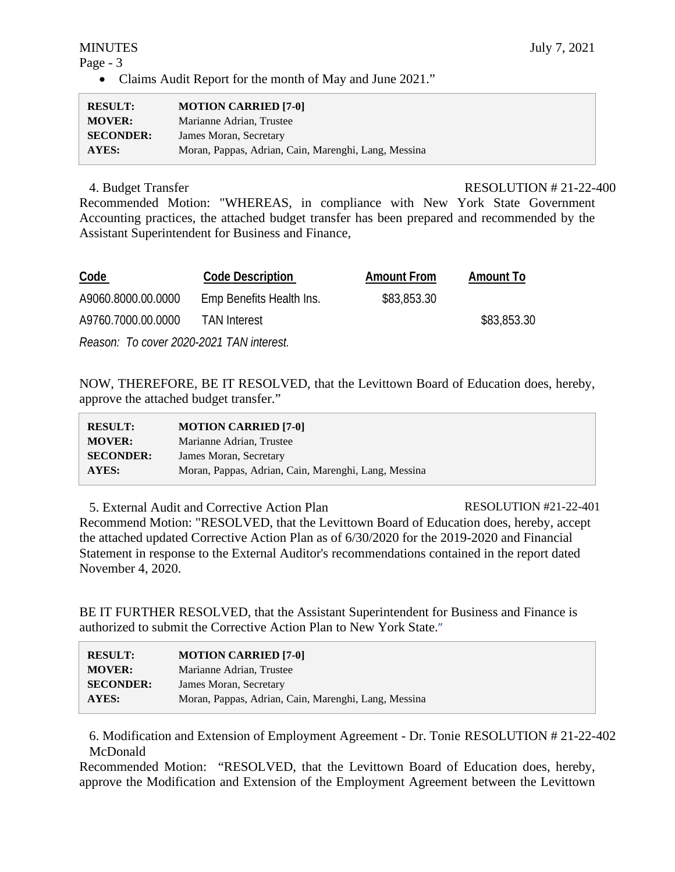# Page - 3

• Claims Audit Report for the month of May and June 2021."

| <b>RESULT:</b>   | <b>MOTION CARRIED [7-0]</b>                          |
|------------------|------------------------------------------------------|
| <b>MOVER:</b>    | Marianne Adrian, Trustee                             |
| <b>SECONDER:</b> | James Moran, Secretary                               |
| <b>AYES:</b>     | Moran, Pappas, Adrian, Cain, Marenghi, Lang, Messina |

4. Budget Transfer RESOLUTION # 21-22-400

Recommended Motion: "WHEREAS, in compliance with New York State Government Accounting practices, the attached budget transfer has been prepared and recommended by the Assistant Superintendent for Business and Finance,

| <b>Code</b>                              | <b>Code Description</b>  | <b>Amount From</b> | <b>Amount To</b> |
|------------------------------------------|--------------------------|--------------------|------------------|
| A9060.8000.00.0000                       | Emp Benefits Health Ins. | \$83,853.30        |                  |
| A9760.7000.00.0000                       | <b>TAN Interest</b>      |                    | \$83,853.30      |
| Reason: To cover 2020-2021 TAN interest. |                          |                    |                  |

NOW, THEREFORE, BE IT RESOLVED, that the Levittown Board of Education does, hereby, approve the attached budget transfer."

| <b>RESULT:</b>   | <b>MOTION CARRIED [7-0]</b>                          |
|------------------|------------------------------------------------------|
| <b>MOVER:</b>    | Marianne Adrian, Trustee                             |
| <b>SECONDER:</b> | James Moran, Secretary                               |
| <b>AYES:</b>     | Moran, Pappas, Adrian, Cain, Marenghi, Lang, Messina |

5. External Audit and Corrective Action Plan RESOLUTION #21-22-401 Recommend Motion: "RESOLVED, that the Levittown Board of Education does, hereby, accept the attached updated Corrective Action Plan as of 6/30/2020 for the 2019-2020 and Financial Statement in response to the External Auditor's recommendations contained in the report dated November 4, 2020.

BE IT FURTHER RESOLVED, that the Assistant Superintendent for Business and Finance is authorized to submit the Corrective Action Plan to New York State."

| <b>RESULT:</b>   | <b>MOTION CARRIED [7-0]</b>                          |
|------------------|------------------------------------------------------|
| <b>MOVER:</b>    | Marianne Adrian, Trustee                             |
| <b>SECONDER:</b> | James Moran, Secretary                               |
| AYES:            | Moran, Pappas, Adrian, Cain, Marenghi, Lang, Messina |

6. Modification and Extension of Employment Agreement - Dr. Tonie RESOLUTION # 21-22-402 McDonald

Recommended Motion: "RESOLVED, that the Levittown Board of Education does, hereby, approve the Modification and Extension of the Employment Agreement between the Levittown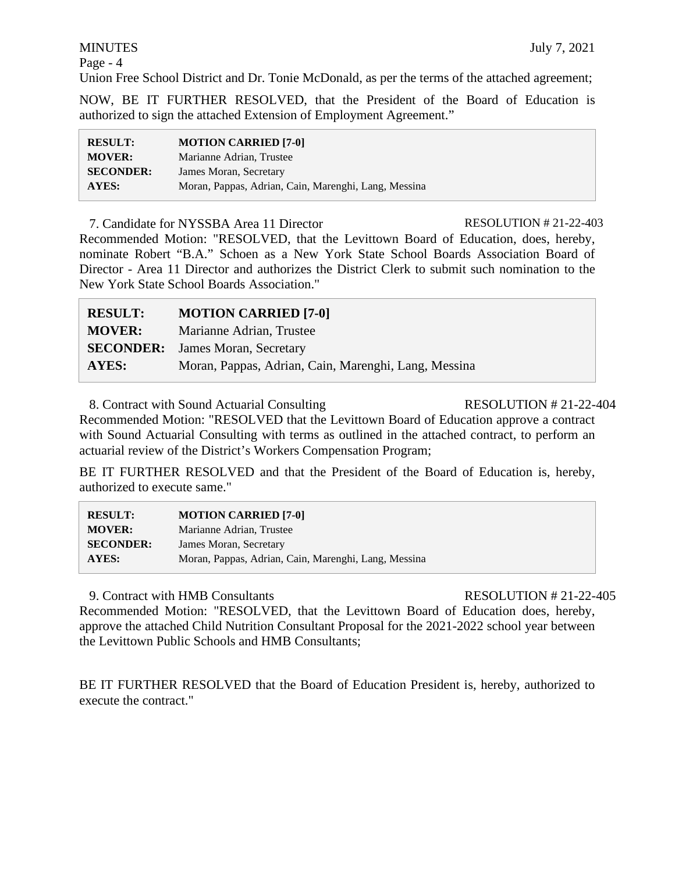# MINUTES July 7, 2021

Page - 4

Union Free School District and Dr. Tonie McDonald, as per the terms of the attached agreement;

NOW, BE IT FURTHER RESOLVED, that the President of the Board of Education is authorized to sign the attached Extension of Employment Agreement."

| <b>RESULT:</b>   | <b>MOTION CARRIED [7-0]</b>                          |
|------------------|------------------------------------------------------|
| <b>MOVER:</b>    | Marianne Adrian, Trustee                             |
| <b>SECONDER:</b> | James Moran, Secretary                               |
| <b>AYES:</b>     | Moran, Pappas, Adrian, Cain, Marenghi, Lang, Messina |

7. Candidate for NYSSBA Area 11 Director RESOLUTION # 21-22-403 Recommended Motion: "RESOLVED, that the Levittown Board of Education, does, hereby, nominate Robert "B.A." Schoen as a New York State School Boards Association Board of Director - Area 11 Director and authorizes the District Clerk to submit such nomination to the New York State School Boards Association."

| <b>RESULT:</b> | <b>MOTION CARRIED [7-0]</b>                          |
|----------------|------------------------------------------------------|
| <b>MOVER:</b>  | Marianne Adrian, Trustee                             |
|                | <b>SECONDER:</b> James Moran, Secretary              |
| AYES:          | Moran, Pappas, Adrian, Cain, Marenghi, Lang, Messina |

8. Contract with Sound Actuarial Consulting RESOLUTION # 21-22-404

Recommended Motion: "RESOLVED that the Levittown Board of Education approve a contract with Sound Actuarial Consulting with terms as outlined in the attached contract, to perform an actuarial review of the District's Workers Compensation Program;

BE IT FURTHER RESOLVED and that the President of the Board of Education is, hereby, authorized to execute same."

| <b>RESULT:</b>   | <b>MOTION CARRIED [7-0]</b>                          |
|------------------|------------------------------------------------------|
| <b>MOVER:</b>    | Marianne Adrian, Trustee                             |
| <b>SECONDER:</b> | James Moran, Secretary                               |
| <b>AYES:</b>     | Moran, Pappas, Adrian, Cain, Marenghi, Lang, Messina |

9. Contract with HMB Consultants RESOLUTION # 21-22-405

Recommended Motion: "RESOLVED, that the Levittown Board of Education does, hereby, approve the attached Child Nutrition Consultant Proposal for the 2021-2022 school year between the Levittown Public Schools and HMB Consultants;

BE IT FURTHER RESOLVED that the Board of Education President is, hereby, authorized to execute the contract."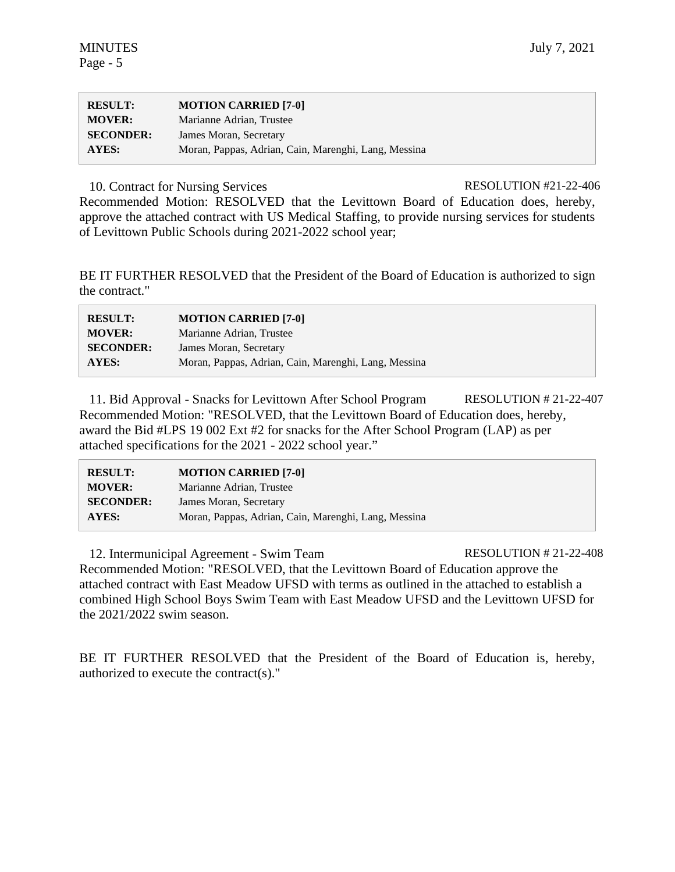| <b>RESULT:</b>   | <b>MOTION CARRIED [7-0]</b>                          |
|------------------|------------------------------------------------------|
| <b>MOVER:</b>    | Marianne Adrian, Trustee                             |
| <b>SECONDER:</b> | James Moran, Secretary                               |
| AYES:            | Moran, Pappas, Adrian, Cain, Marenghi, Lang, Messina |

10. Contract for Nursing Services RESOLUTION #21-22-406

Recommended Motion: RESOLVED that the Levittown Board of Education does, hereby, approve the attached contract with US Medical Staffing, to provide nursing services for students of Levittown Public Schools during 2021-2022 school year;

BE IT FURTHER RESOLVED that the President of the Board of Education is authorized to sign the contract."

| <b>RESULT:</b>   | <b>MOTION CARRIED [7-0]</b>                          |
|------------------|------------------------------------------------------|
| <b>MOVER:</b>    | Marianne Adrian, Trustee                             |
| <b>SECONDER:</b> | James Moran, Secretary                               |
| AYES:            | Moran, Pappas, Adrian, Cain, Marenghi, Lang, Messina |

11. Bid Approval - Snacks for Levittown After School Program RESOLUTION # 21-22-407 Recommended Motion: "RESOLVED, that the Levittown Board of Education does, hereby, award the Bid #LPS 19 002 Ext #2 for snacks for the After School Program (LAP) as per attached specifications for the 2021 - 2022 school year."

| <b>RESULT:</b>   | <b>MOTION CARRIED [7-0]</b>                          |
|------------------|------------------------------------------------------|
| <b>MOVER:</b>    | Marianne Adrian, Trustee                             |
| <b>SECONDER:</b> | James Moran, Secretary                               |
| <b>AYES:</b>     | Moran, Pappas, Adrian, Cain, Marenghi, Lang, Messina |

12. Intermunicipal Agreement - Swim Team RESOLUTION # 21-22-408 Recommended Motion: "RESOLVED, that the Levittown Board of Education approve the attached contract with East Meadow UFSD with terms as outlined in the attached to establish a combined High School Boys Swim Team with East Meadow UFSD and the Levittown UFSD for the 2021/2022 swim season.

BE IT FURTHER RESOLVED that the President of the Board of Education is, hereby, authorized to execute the contract(s)."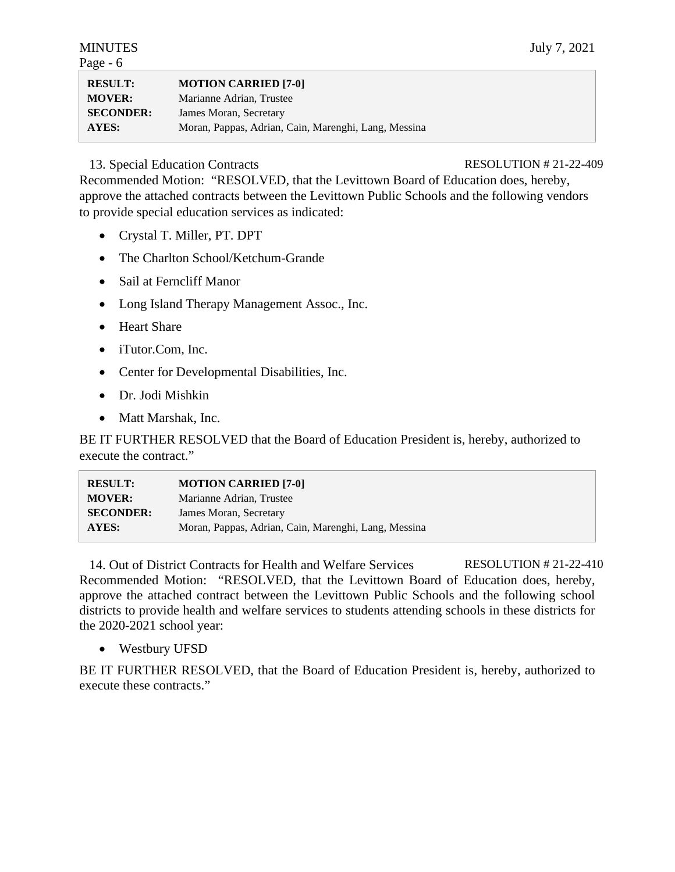| $-0]$ |  |  |  |
|-------|--|--|--|

| <b>RESULT:</b>   | <b>MOTION CARRIED [7-0]</b>                          |
|------------------|------------------------------------------------------|
| <b>MOVER:</b>    | Marianne Adrian, Trustee                             |
| <b>SECONDER:</b> | James Moran, Secretary                               |
| AYES:            | Moran, Pappas, Adrian, Cain, Marenghi, Lang, Messina |

# 13. Special Education Contracts RESOLUTION # 21-22-409

Recommended Motion: "RESOLVED, that the Levittown Board of Education does, hereby, approve the attached contracts between the Levittown Public Schools and the following vendors to provide special education services as indicated:

- Crystal T. Miller, PT. DPT
- The Charlton School/Ketchum-Grande
- Sail at Ferncliff Manor
- Long Island Therapy Management Assoc., Inc.
- Heart Share
- iTutor.Com, Inc.
- Center for Developmental Disabilities, Inc.
- Dr. Jodi Mishkin
- Matt Marshak, Inc.

BE IT FURTHER RESOLVED that the Board of Education President is, hereby, authorized to execute the contract."

| <b>RESULT:</b>   | <b>MOTION CARRIED [7-0]</b>                          |
|------------------|------------------------------------------------------|
| <b>MOVER:</b>    | Marianne Adrian, Trustee                             |
| <b>SECONDER:</b> | James Moran, Secretary                               |
| AYES:            | Moran, Pappas, Adrian, Cain, Marenghi, Lang, Messina |

14. Out of District Contracts for Health and Welfare Services RESOLUTION # 21-22-410 Recommended Motion: "RESOLVED, that the Levittown Board of Education does, hereby, approve the attached contract between the Levittown Public Schools and the following school districts to provide health and welfare services to students attending schools in these districts for the 2020-2021 school year:

• Westbury UFSD

BE IT FURTHER RESOLVED, that the Board of Education President is, hereby, authorized to execute these contracts."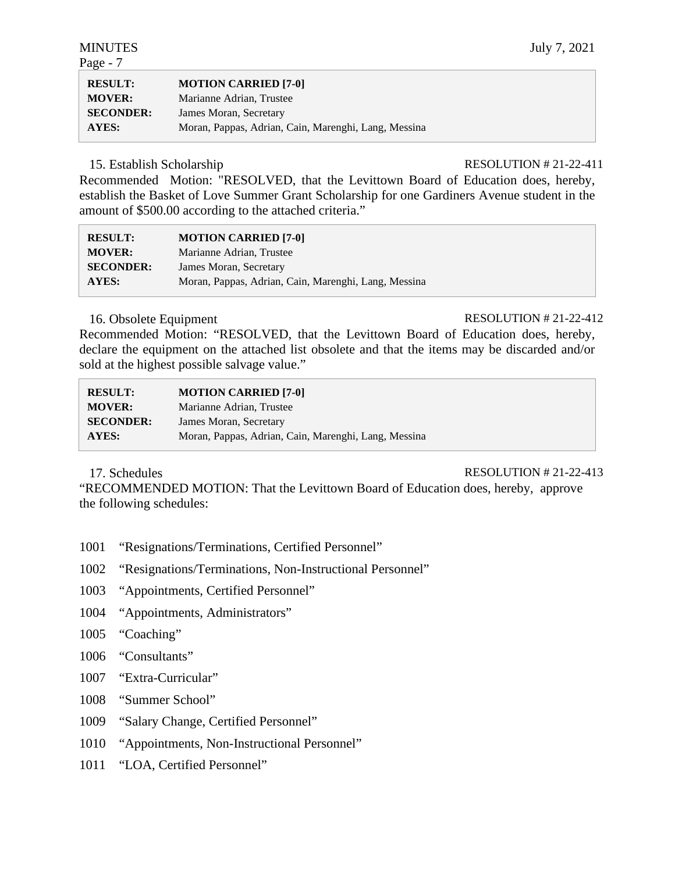Page - 7

| <b>RESULT:</b>   | <b>MOTION CARRIED [7-0]</b>                          |
|------------------|------------------------------------------------------|
| <b>MOVER:</b>    | Marianne Adrian, Trustee                             |
| <b>SECONDER:</b> | James Moran, Secretary                               |
| <b>AYES:</b>     | Moran, Pappas, Adrian, Cain, Marenghi, Lang, Messina |

15. Establish Scholarship RESOLUTION # 21-22-411

Recommended Motion: "RESOLVED, that the Levittown Board of Education does, hereby, establish the Basket of Love Summer Grant Scholarship for one Gardiners Avenue student in the amount of \$500.00 according to the attached criteria."

| <b>RESULT:</b>   | <b>MOTION CARRIED [7-0]</b>                          |
|------------------|------------------------------------------------------|
| <b>MOVER:</b>    | Marianne Adrian, Trustee                             |
| <b>SECONDER:</b> | James Moran, Secretary                               |
| AYES:            | Moran, Pappas, Adrian, Cain, Marenghi, Lang, Messina |

# 16. Obsolete Equipment RESOLUTION # 21-22-412

Recommended Motion: "RESOLVED, that the Levittown Board of Education does, hereby, declare the equipment on the attached list obsolete and that the items may be discarded and/or sold at the highest possible salvage value."

| <b>RESULT:</b>   | <b>MOTION CARRIED [7-0]</b>                          |
|------------------|------------------------------------------------------|
| <b>MOVER:</b>    | Marianne Adrian, Trustee                             |
| <b>SECONDER:</b> | James Moran, Secretary                               |
| AYES:            | Moran, Pappas, Adrian, Cain, Marenghi, Lang, Messina |

17. Schedules RESOLUTION # 21-22-413

"RECOMMENDED MOTION: That the Levittown Board of Education does, hereby, approve the following schedules:

- 1001 "Resignations/Terminations, Certified Personnel"
- 1002 "Resignations/Terminations, Non-Instructional Personnel"
- 1003 "Appointments, Certified Personnel"
- 1004 "Appointments, Administrators"
- 1005 "Coaching"
- 1006 "Consultants"
- 1007 "Extra-Curricular"
- 1008 "Summer School"
- 1009 "Salary Change, Certified Personnel"
- 1010 "Appointments, Non-Instructional Personnel"
- 1011 "LOA, Certified Personnel"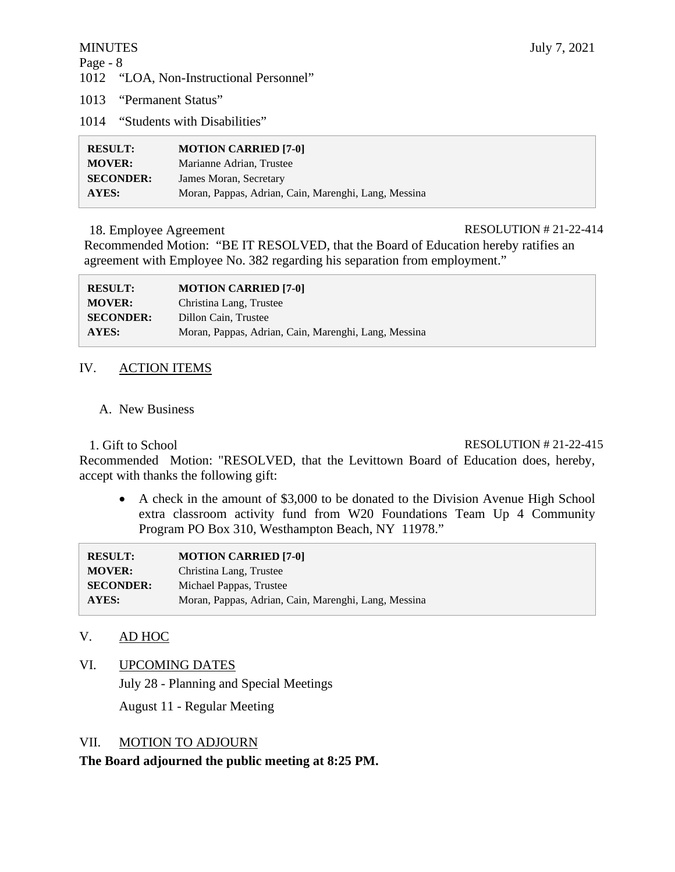# Page - 8

1012 "LOA, Non-Instructional Personnel"

1013 "Permanent Status"

1014 "Students with Disabilities"

| <b>RESULT:</b>   | <b>MOTION CARRIED [7-0]</b>                          |
|------------------|------------------------------------------------------|
| <b>MOVER:</b>    | Marianne Adrian, Trustee                             |
| <b>SECONDER:</b> | James Moran, Secretary                               |
| AYES:            | Moran, Pappas, Adrian, Cain, Marenghi, Lang, Messina |

### 18. Employee Agreement RESOLUTION # 21-22-414

Recommended Motion: "BE IT RESOLVED, that the Board of Education hereby ratifies an agreement with Employee No. 382 regarding his separation from employment."

| <b>RESULT:</b>   | <b>MOTION CARRIED [7-0]</b>                          |
|------------------|------------------------------------------------------|
| <b>MOVER:</b>    | Christina Lang, Trustee                              |
| <b>SECONDER:</b> | Dillon Cain, Trustee                                 |
| AYES:            | Moran, Pappas, Adrian, Cain, Marenghi, Lang, Messina |

# IV. ACTION ITEMS

# A. New Business

# 1. Gift to School RESOLUTION # 21-22-415

Recommended Motion: "RESOLVED, that the Levittown Board of Education does, hereby, accept with thanks the following gift:

• A check in the amount of \$3,000 to be donated to the Division Avenue High School extra classroom activity fund from W20 Foundations Team Up 4 Community Program PO Box 310, Westhampton Beach, NY 11978."

| <b>RESULT:</b>   | <b>MOTION CARRIED [7-0]</b>                          |
|------------------|------------------------------------------------------|
| <b>MOVER:</b>    | Christina Lang, Trustee                              |
| <b>SECONDER:</b> | Michael Pappas, Trustee                              |
| <b>AYES:</b>     | Moran, Pappas, Adrian, Cain, Marenghi, Lang, Messina |

# V. AD HOC

VI. UPCOMING DATES

July 28 - Planning and Special Meetings

August 11 - Regular Meeting

# VII. MOTION TO ADJOURN

**The Board adjourned the public meeting at 8:25 PM.**